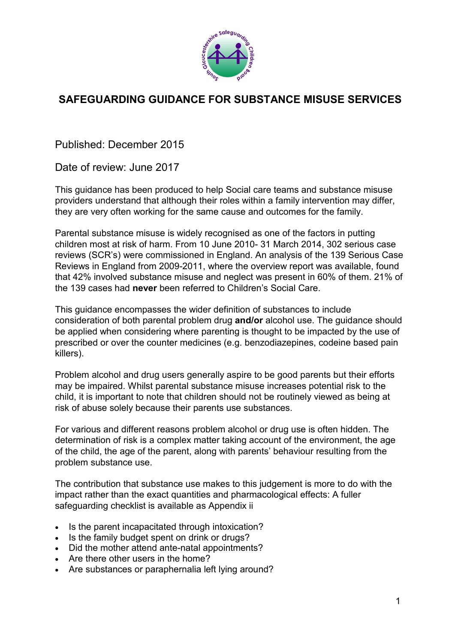

# **SAFEGUARDING GUIDANCE FOR SUBSTANCE MISUSE SERVICES**

Published: December 2015

Date of review: June 2017

This guidance has been produced to help Social care teams and substance misuse providers understand that although their roles within a family intervention may differ, they are very often working for the same cause and outcomes for the family.

Parental substance misuse is widely recognised as one of the factors in putting children most at risk of harm. From 10 June 2010- 31 March 2014, 302 serious case reviews (SCR's) were commissioned in England. An analysis of the 139 Serious Case Reviews in England from 2009-2011, where the overview report was available, found that 42% involved substance misuse and neglect was present in 60% of them. 21% of the 139 cases had **never** been referred to Children's Social Care.

This guidance encompasses the wider definition of substances to include consideration of both parental problem drug **and/or** alcohol use. The guidance should be applied when considering where parenting is thought to be impacted by the use of prescribed or over the counter medicines (e.g. benzodiazepines, codeine based pain killers).

Problem alcohol and drug users generally aspire to be good parents but their efforts may be impaired. Whilst parental substance misuse increases potential risk to the child, it is important to note that children should not be routinely viewed as being at risk of abuse solely because their parents use substances.

For various and different reasons problem alcohol or drug use is often hidden. The determination of risk is a complex matter taking account of the environment, the age of the child, the age of the parent, along with parents' behaviour resulting from the problem substance use.

The contribution that substance use makes to this judgement is more to do with the impact rather than the exact quantities and pharmacological effects: A fuller safeguarding checklist is available as Appendix ii

- Is the parent incapacitated through intoxication?
- Is the family budget spent on drink or drugs?
- Did the mother attend ante-natal appointments?
- Are there other users in the home?
- Are substances or paraphernalia left lying around?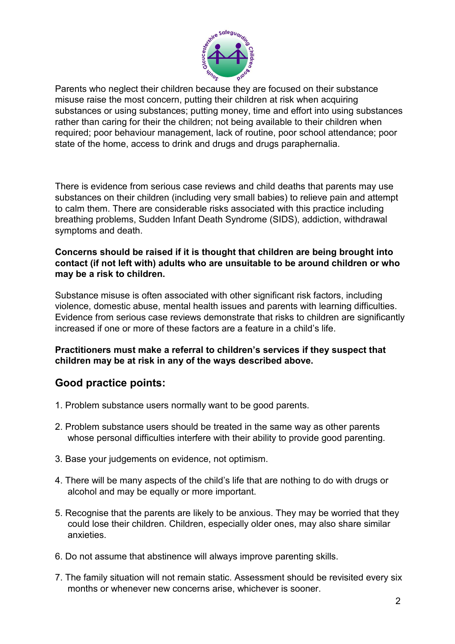

Parents who neglect their children because they are focused on their substance misuse raise the most concern, putting their children at risk when acquiring substances or using substances; putting money, time and effort into using substances rather than caring for their the children; not being available to their children when required; poor behaviour management, lack of routine, poor school attendance; poor state of the home, access to drink and drugs and drugs paraphernalia.

There is evidence from serious case reviews and child deaths that parents may use substances on their children (including very small babies) to relieve pain and attempt to calm them. There are considerable risks associated with this practice including breathing problems, Sudden Infant Death Syndrome (SIDS), addiction, withdrawal symptoms and death.

#### **Concerns should be raised if it is thought that children are being brought into contact (if not left with) adults who are unsuitable to be around children or who may be a risk to children.**

Substance misuse is often associated with other significant risk factors, including violence, domestic abuse, mental health issues and parents with learning difficulties. Evidence from serious case reviews demonstrate that risks to children are significantly increased if one or more of these factors are a feature in a child's life.

#### **Practitioners must make a referral to children's services if they suspect that children may be at risk in any of the ways described above.**

# **Good practice points:**

- 1. Problem substance users normally want to be good parents.
- 2. Problem substance users should be treated in the same way as other parents whose personal difficulties interfere with their ability to provide good parenting.
- 3. Base your judgements on evidence, not optimism.
- 4. There will be many aspects of the child's life that are nothing to do with drugs or alcohol and may be equally or more important.
- 5. Recognise that the parents are likely to be anxious. They may be worried that they could lose their children. Children, especially older ones, may also share similar anxieties.
- 6. Do not assume that abstinence will always improve parenting skills.
- 7. The family situation will not remain static. Assessment should be revisited every six months or whenever new concerns arise, whichever is sooner.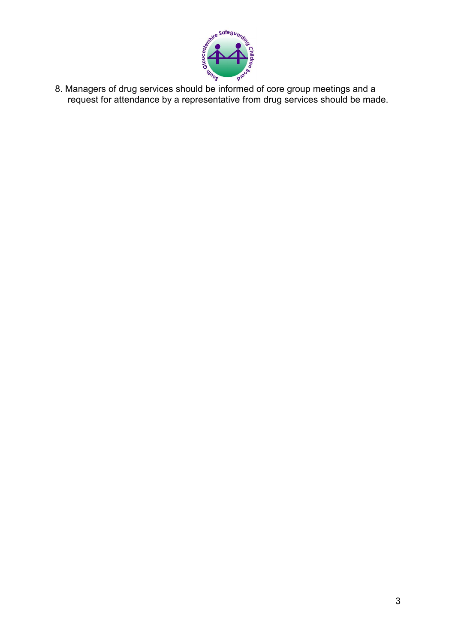

8. Managers of drug services should be informed of core group meetings and a request for attendance by a representative from drug services should be made.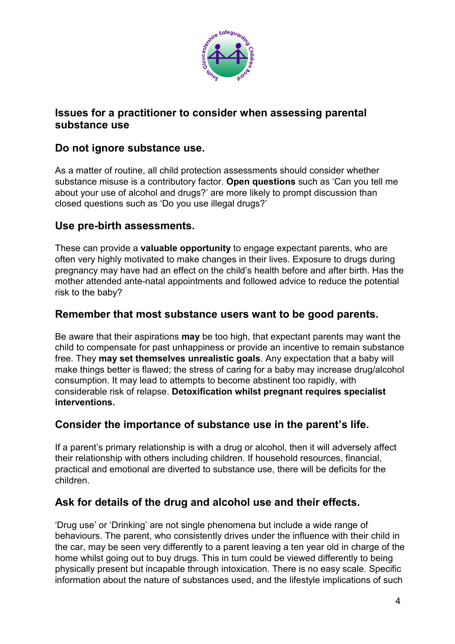

# **Issues for a practitioner to consider when assessing parental substance use**

# **Do not ignore substance use.**

As a matter of routine, all child protection assessments should consider whether substance misuse is a contributory factor. **Open questions** such as 'Can you tell me about your use of alcohol and drugs?' are more likely to prompt discussion than closed questions such as 'Do you use illegal drugs?'

# **Use pre-birth assessments.**

These can provide a **valuable opportunity** to engage expectant parents, who are often very highly motivated to make changes in their lives. Exposure to drugs during pregnancy may have had an effect on the child's health before and after birth. Has the mother attended ante-natal appointments and followed advice to reduce the potential risk to the baby?

# **Remember that most substance users want to be good parents.**

Be aware that their aspirations **may** be too high, that expectant parents may want the child to compensate for past unhappiness or provide an incentive to remain substance free. They **may set themselves unrealistic goals**. Any expectation that a baby will make things better is flawed; the stress of caring for a baby may increase drug/alcohol consumption. It may lead to attempts to become abstinent too rapidly, with considerable risk of relapse. **Detoxification whilst pregnant requires specialist interventions.**

# **Consider the importance of substance use in the parent's life.**

If a parent's primary relationship is with a drug or alcohol, then it will adversely affect their relationship with others including children. If household resources, financial, practical and emotional are diverted to substance use, there will be deficits for the children.

# **Ask for details of the drug and alcohol use and their effects.**

'Drug use' or 'Drinking' are not single phenomena but include a wide range of behaviours. The parent, who consistently drives under the influence with their child in the car, may be seen very differently to a parent leaving a ten year old in charge of the home whilst going out to buy drugs. This in turn could be viewed differently to being physically present but incapable through intoxication. There is no easy scale. Specific information about the nature of substances used, and the lifestyle implications of such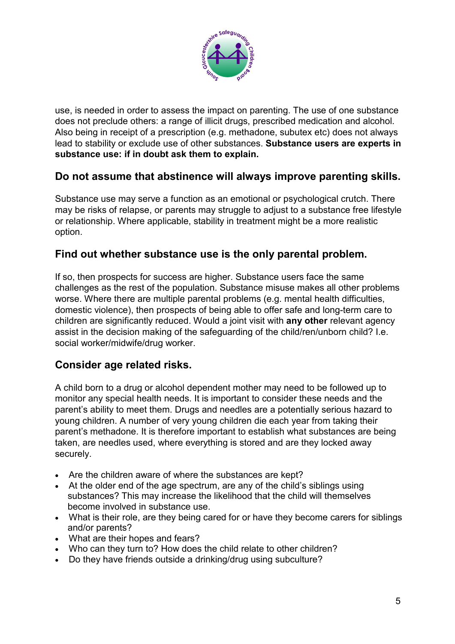

use, is needed in order to assess the impact on parenting. The use of one substance does not preclude others: a range of illicit drugs, prescribed medication and alcohol. Also being in receipt of a prescription (e.g. methadone, subutex etc) does not always lead to stability or exclude use of other substances. **Substance users are experts in substance use: if in doubt ask them to explain.**

# **Do not assume that abstinence will always improve parenting skills.**

Substance use may serve a function as an emotional or psychological crutch. There may be risks of relapse, or parents may struggle to adjust to a substance free lifestyle or relationship. Where applicable, stability in treatment might be a more realistic option.

# **Find out whether substance use is the only parental problem.**

If so, then prospects for success are higher. Substance users face the same challenges as the rest of the population. Substance misuse makes all other problems worse. Where there are multiple parental problems (e.g. mental health difficulties, domestic violence), then prospects of being able to offer safe and long-term care to children are significantly reduced. Would a joint visit with **any other** relevant agency assist in the decision making of the safeguarding of the child/ren/unborn child? I.e. social worker/midwife/drug worker.

# **Consider age related risks.**

A child born to a drug or alcohol dependent mother may need to be followed up to monitor any special health needs. It is important to consider these needs and the parent's ability to meet them. Drugs and needles are a potentially serious hazard to young children. A number of very young children die each year from taking their parent's methadone. It is therefore important to establish what substances are being taken, are needles used, where everything is stored and are they locked away securely.

- Are the children aware of where the substances are kept?
- At the older end of the age spectrum, are any of the child's siblings using substances? This may increase the likelihood that the child will themselves become involved in substance use.
- What is their role, are they being cared for or have they become carers for siblings and/or parents?
- What are their hopes and fears?
- Who can they turn to? How does the child relate to other children?
- Do they have friends outside a drinking/drug using subculture?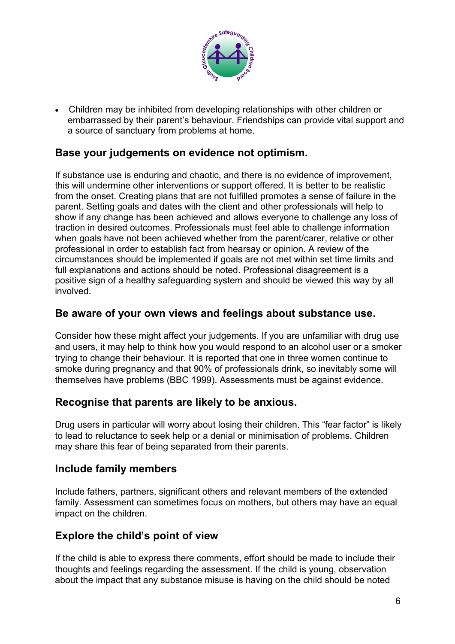

 Children may be inhibited from developing relationships with other children or embarrassed by their parent's behaviour. Friendships can provide vital support and a source of sanctuary from problems at home.

# **Base your judgements on evidence not optimism.**

If substance use is enduring and chaotic, and there is no evidence of improvement, this will undermine other interventions or support offered. It is better to be realistic from the onset. Creating plans that are not fulfilled promotes a sense of failure in the parent. Setting goals and dates with the client and other professionals will help to show if any change has been achieved and allows everyone to challenge any loss of traction in desired outcomes. Professionals must feel able to challenge information when goals have not been achieved whether from the parent/carer, relative or other professional in order to establish fact from hearsay or opinion. A review of the circumstances should be implemented if goals are not met within set time limits and full explanations and actions should be noted. Professional disagreement is a positive sign of a healthy safeguarding system and should be viewed this way by all involved.

# **Be aware of your own views and feelings about substance use.**

Consider how these might affect your judgements. If you are unfamiliar with drug use and users, it may help to think how you would respond to an alcohol user or a smoker trying to change their behaviour. It is reported that one in three women continue to smoke during pregnancy and that 90% of professionals drink, so inevitably some will themselves have problems (BBC 1999). Assessments must be against evidence.

#### **Recognise that parents are likely to be anxious.**

Drug users in particular will worry about losing their children. This "fear factor" is likely to lead to reluctance to seek help or a denial or minimisation of problems. Children may share this fear of being separated from their parents.

#### **Include family members**

Include fathers, partners, significant others and relevant members of the extended family. Assessment can sometimes focus on mothers, but others may have an equal impact on the children.

# **Explore the child's point of view**

If the child is able to express there comments, effort should be made to include their thoughts and feelings regarding the assessment. If the child is young, observation about the impact that any substance misuse is having on the child should be noted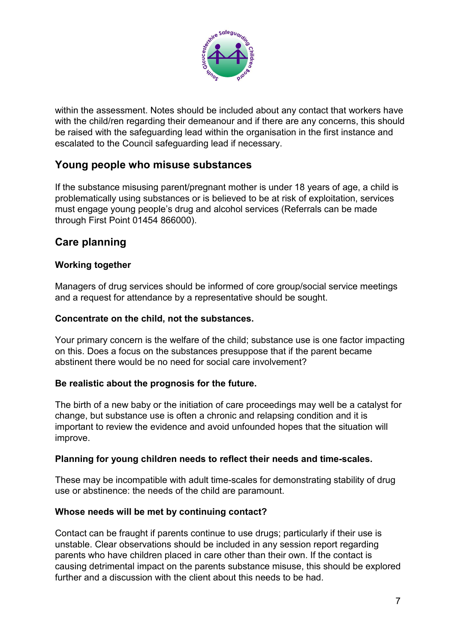

within the assessment. Notes should be included about any contact that workers have with the child/ren regarding their demeanour and if there are any concerns, this should be raised with the safeguarding lead within the organisation in the first instance and escalated to the Council safeguarding lead if necessary.

# **Young people who misuse substances**

If the substance misusing parent/pregnant mother is under 18 years of age, a child is problematically using substances or is believed to be at risk of exploitation, services must engage young people's drug and alcohol services (Referrals can be made through First Point 01454 866000).

# **Care planning**

#### **Working together**

Managers of drug services should be informed of core group/social service meetings and a request for attendance by a representative should be sought.

#### **Concentrate on the child, not the substances.**

Your primary concern is the welfare of the child; substance use is one factor impacting on this. Does a focus on the substances presuppose that if the parent became abstinent there would be no need for social care involvement?

#### **Be realistic about the prognosis for the future.**

The birth of a new baby or the initiation of care proceedings may well be a catalyst for change, but substance use is often a chronic and relapsing condition and it is important to review the evidence and avoid unfounded hopes that the situation will improve.

#### **Planning for young children needs to reflect their needs and time-scales.**

These may be incompatible with adult time-scales for demonstrating stability of drug use or abstinence: the needs of the child are paramount.

#### **Whose needs will be met by continuing contact?**

Contact can be fraught if parents continue to use drugs; particularly if their use is unstable. Clear observations should be included in any session report regarding parents who have children placed in care other than their own. If the contact is causing detrimental impact on the parents substance misuse, this should be explored further and a discussion with the client about this needs to be had.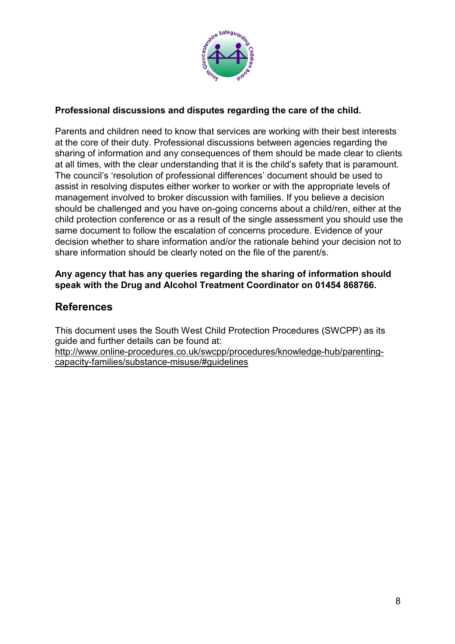

#### **Professional discussions and disputes regarding the care of the child.**

Parents and children need to know that services are working with their best interests at the core of their duty. Professional discussions between agencies regarding the sharing of information and any consequences of them should be made clear to clients at all times, with the clear understanding that it is the child's safety that is paramount. The council's 'resolution of professional differences' document should be used to assist in resolving disputes either worker to worker or with the appropriate levels of management involved to broker discussion with families. If you believe a decision should be challenged and you have on-going concerns about a child/ren, either at the child protection conference or as a result of the single assessment you should use the same document to follow the escalation of concerns procedure. Evidence of your decision whether to share information and/or the rationale behind your decision not to share information should be clearly noted on the file of the parent/s.

#### **Any agency that has any queries regarding the sharing of information should speak with the Drug and Alcohol Treatment Coordinator on 01454 868766.**

# **References**

This document uses the South West Child Protection Procedures (SWCPP) as its guide and further details can be found at: [http://www.online-procedures.co.uk/swcpp/procedures/knowledge-hub/parenting](http://www.online-procedures.co.uk/swcpp/procedures/knowledge-hub/parenting-capacity-families/substance-misuse/)[capacity-families/substance-misuse/#guidelines](http://www.online-procedures.co.uk/swcpp/procedures/knowledge-hub/parenting-capacity-families/substance-misuse/)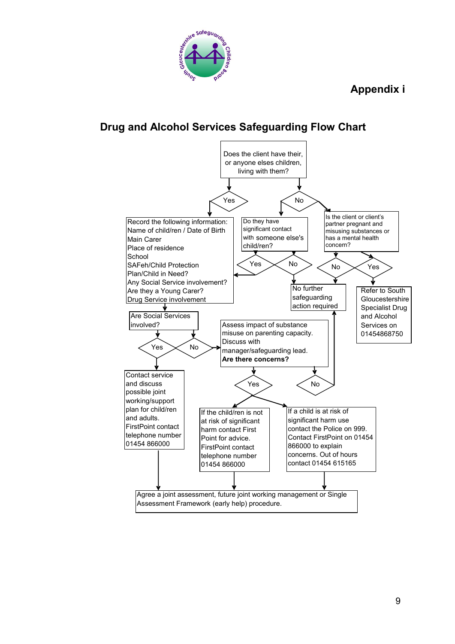# **Appendix i**



# **Drug and Alcohol Services Safeguarding Flow Chart**

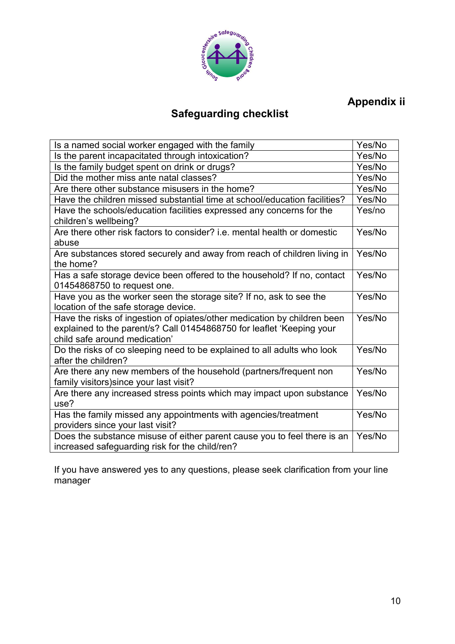

# **Appendix ii**

# **Safeguarding checklist**

| Is a named social worker engaged with the family                                                                                                                                   | Yes/No |
|------------------------------------------------------------------------------------------------------------------------------------------------------------------------------------|--------|
| Is the parent incapacitated through intoxication?                                                                                                                                  | Yes/No |
| Is the family budget spent on drink or drugs?                                                                                                                                      | Yes/No |
| Did the mother miss ante natal classes?                                                                                                                                            | Yes/No |
| Are there other substance misusers in the home?                                                                                                                                    | Yes/No |
| Have the children missed substantial time at school/education facilities?                                                                                                          | Yes/No |
| Have the schools/education facilities expressed any concerns for the<br>children's wellbeing?                                                                                      | Yes/no |
| Are there other risk factors to consider? i.e. mental health or domestic<br>abuse                                                                                                  | Yes/No |
| Are substances stored securely and away from reach of children living in<br>the home?                                                                                              | Yes/No |
| Has a safe storage device been offered to the household? If no, contact<br>01454868750 to request one.                                                                             | Yes/No |
| Have you as the worker seen the storage site? If no, ask to see the<br>location of the safe storage device.                                                                        | Yes/No |
| Have the risks of ingestion of opiates/other medication by children been<br>explained to the parent/s? Call 01454868750 for leaflet 'Keeping your<br>child safe around medication' | Yes/No |
| Do the risks of co sleeping need to be explained to all adults who look<br>after the children?                                                                                     | Yes/No |
| Are there any new members of the household (partners/frequent non<br>family visitors) since your last visit?                                                                       | Yes/No |
| Are there any increased stress points which may impact upon substance<br>use?                                                                                                      | Yes/No |
| Has the family missed any appointments with agencies/treatment<br>providers since your last visit?                                                                                 | Yes/No |
| Does the substance misuse of either parent cause you to feel there is an<br>increased safeguarding risk for the child/ren?                                                         | Yes/No |

If you have answered yes to any questions, please seek clarification from your line manager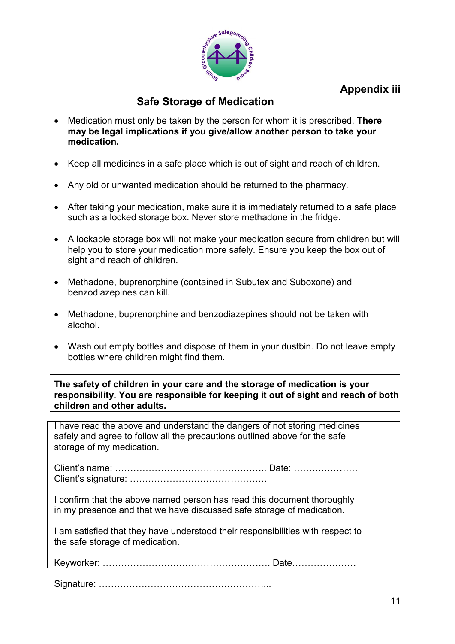

# **Appendix iii**

# **Safe Storage of Medication**

- Medication must only be taken by the person for whom it is prescribed. **There may be legal implications if you give/allow another person to take your medication.**
- Keep all medicines in a safe place which is out of sight and reach of children.
- Any old or unwanted medication should be returned to the pharmacy.
- After taking your medication, make sure it is immediately returned to a safe place such as a locked storage box. Never store methadone in the fridge.
- A lockable storage box will not make your medication secure from children but will help you to store your medication more safely. Ensure you keep the box out of sight and reach of children.
- Methadone, buprenorphine (contained in Subutex and Suboxone) and benzodiazepines can kill.
- Methadone, buprenorphine and benzodiazepines should not be taken with alcohol.
- Wash out empty bottles and dispose of them in your dustbin. Do not leave empty bottles where children might find them.

**The safety of children in your care and the storage of medication is your responsibility. You are responsible for keeping it out of sight and reach of both children and other adults.**

I have read the above and understand the dangers of not storing medicines safely and agree to follow all the precautions outlined above for the safe storage of my medication.

Client's name: ………………………………………….. Date: ………………… Client's signature: ………………………………………

I confirm that the above named person has read this document thoroughly in my presence and that we have discussed safe storage of medication.

I am satisfied that they have understood their responsibilities with respect to the safe storage of medication.

Keyworker: ………………………………………………. Date…………………

Signature: ………………………………………………...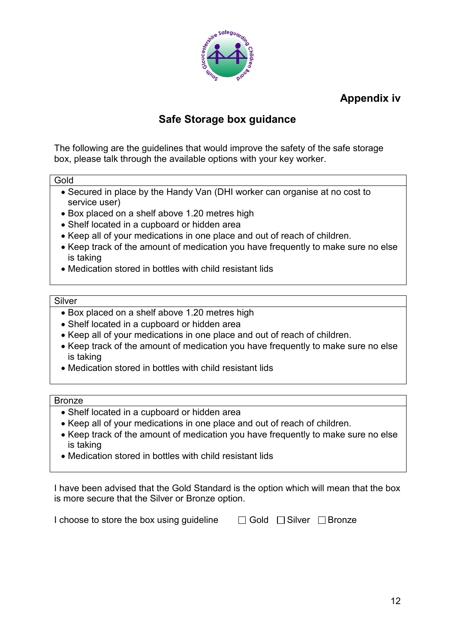

**Appendix iv**

# **Safe Storage box guidance**

The following are the guidelines that would improve the safety of the safe storage box, please talk through the available options with your key worker.

**Gold** 

- Secured in place by the Handy Van (DHI worker can organise at no cost to service user)
- Box placed on a shelf above 1.20 metres high
- Shelf located in a cupboard or hidden area
- Keep all of your medications in one place and out of reach of children.
- Keep track of the amount of medication you have frequently to make sure no else is taking
- Medication stored in bottles with child resistant lids

#### Silver

- Box placed on a shelf above 1.20 metres high
- Shelf located in a cupboard or hidden area
- Keep all of your medications in one place and out of reach of children.
- Keep track of the amount of medication you have frequently to make sure no else is taking
- Medication stored in bottles with child resistant lids

#### Bronze

- Shelf located in a cupboard or hidden area
- Keep all of your medications in one place and out of reach of children.
- Keep track of the amount of medication you have frequently to make sure no else is taking
- Medication stored in bottles with child resistant lids

I have been advised that the Gold Standard is the option which will mean that the box is more secure that the Silver or Bronze option.

| I choose to store the box using guideline | $\Box$ Gold $\Box$ Silver $\Box$ Bronze |  |
|-------------------------------------------|-----------------------------------------|--|
|                                           |                                         |  |